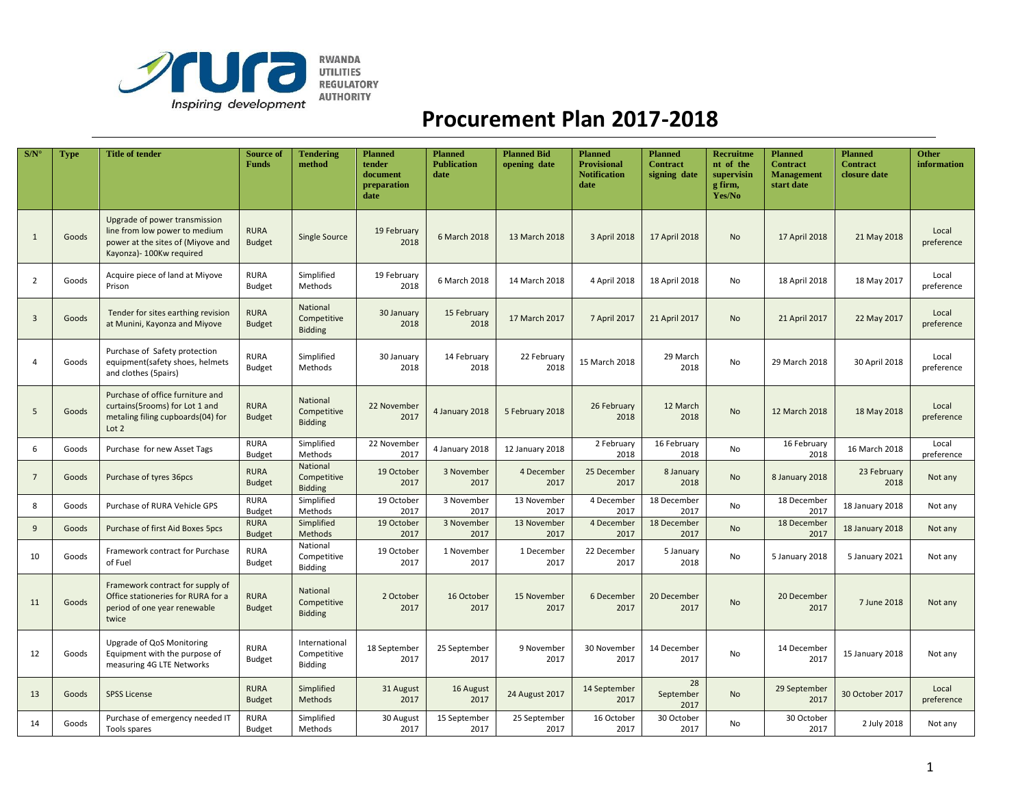

## **Procurement Plan 2017-2018**

| S/N            | Type  | <b>Title of tender</b>                                                                                                           | <b>Source of</b><br><b>Funds</b> | <b>Tendering</b><br>method                     | <b>Planned</b><br>tender<br>document<br>preparation<br>date | <b>Planned</b><br><b>Publication</b><br>date | <b>Planned Bid</b><br>opening date | <b>Planned</b><br><b>Provisional</b><br><b>Notification</b><br>date | <b>Planned</b><br><b>Contract</b><br>signing date | Recruitme<br>nt of the<br>supervisin<br>g firm,<br>Yes/No | <b>Planned</b><br><b>Contract</b><br><b>Management</b><br>start date | <b>Planned</b><br><b>Contract</b><br>closure date | <b>Other</b><br>information |
|----------------|-------|----------------------------------------------------------------------------------------------------------------------------------|----------------------------------|------------------------------------------------|-------------------------------------------------------------|----------------------------------------------|------------------------------------|---------------------------------------------------------------------|---------------------------------------------------|-----------------------------------------------------------|----------------------------------------------------------------------|---------------------------------------------------|-----------------------------|
| $\mathbf{1}$   | Goods | Upgrade of power transmission<br>line from low power to medium<br>power at the sites of (Miyove and<br>Kayonza) - 100Kw required | <b>RURA</b><br><b>Budget</b>     | Single Source                                  | 19 February<br>2018                                         | 6 March 2018                                 | 13 March 2018                      | 3 April 2018                                                        | 17 April 2018                                     | <b>No</b>                                                 | 17 April 2018                                                        | 21 May 2018                                       | Local<br>preference         |
| $\overline{2}$ | Goods | Acquire piece of land at Miyove<br>Prison                                                                                        | <b>RURA</b><br><b>Budget</b>     | Simplified<br>Methods                          | 19 February<br>2018                                         | 6 March 2018                                 | 14 March 2018                      | 4 April 2018                                                        | 18 April 2018                                     | No                                                        | 18 April 2018                                                        | 18 May 2017                                       | Local<br>preference         |
| $\overline{3}$ | Goods | Tender for sites earthing revision<br>at Munini, Kayonza and Miyove                                                              | <b>RURA</b><br><b>Budget</b>     | National<br>Competitive<br><b>Bidding</b>      | 30 January<br>2018                                          | 15 February<br>2018                          | 17 March 2017                      | 7 April 2017                                                        | 21 April 2017                                     | No                                                        | 21 April 2017                                                        | 22 May 2017                                       | Local<br>preference         |
| $\overline{a}$ | Goods | Purchase of Safety protection<br>equipment(safety shoes, helmets<br>and clothes (5pairs)                                         | <b>RURA</b><br><b>Budget</b>     | Simplified<br>Methods                          | 30 January<br>2018                                          | 14 February<br>2018                          | 22 February<br>2018                | 15 March 2018                                                       | 29 March<br>2018                                  | No                                                        | 29 March 2018                                                        | 30 April 2018                                     | Local<br>preference         |
| 5              | Goods | Purchase of office furniture and<br>curtains(5rooms) for Lot 1 and<br>metaling filing cupboards(04) for<br>Lot 2                 | <b>RURA</b><br><b>Budget</b>     | National<br>Competitive<br><b>Bidding</b>      | 22 November<br>2017                                         | 4 January 2018                               | 5 February 2018                    | 26 February<br>2018                                                 | 12 March<br>2018                                  | <b>No</b>                                                 | 12 March 2018                                                        | 18 May 2018                                       | Local<br>preference         |
| 6              | Goods | Purchase for new Asset Tags                                                                                                      | <b>RURA</b><br><b>Budget</b>     | Simplified<br>Methods                          | 22 November<br>2017                                         | 4 January 2018                               | 12 January 2018                    | 2 February<br>2018                                                  | 16 February<br>2018                               | No                                                        | 16 February<br>2018                                                  | 16 March 2018                                     | Local<br>preference         |
| $\overline{7}$ | Goods | Purchase of tyres 36pcs                                                                                                          | <b>RURA</b><br><b>Budget</b>     | National<br>Competitive<br><b>Bidding</b>      | 19 October<br>2017                                          | 3 November<br>2017                           | 4 December<br>2017                 | 25 December<br>2017                                                 | 8 January<br>2018                                 | <b>No</b>                                                 | 8 January 2018                                                       | 23 February<br>2018                               | Not any                     |
| 8              | Goods | Purchase of RURA Vehicle GPS                                                                                                     | <b>RURA</b><br><b>Budget</b>     | Simplified<br>Methods                          | 19 October<br>2017                                          | 3 November<br>2017                           | 13 November<br>2017                | 4 December<br>2017                                                  | 18 December<br>2017                               | <b>No</b>                                                 | 18 December<br>2017                                                  | 18 January 2018                                   | Not any                     |
| 9              | Goods | Purchase of first Aid Boxes 5pcs                                                                                                 | <b>RURA</b><br><b>Budget</b>     | Simplified<br>Methods                          | 19 October<br>2017                                          | 3 November<br>2017                           | 13 November<br>2017                | 4 December<br>2017                                                  | 18 December<br>2017                               | <b>No</b>                                                 | 18 December<br>2017                                                  | 18 January 2018                                   | Not any                     |
| 10             | Goods | Framework contract for Purchase<br>of Fuel                                                                                       | <b>RURA</b><br><b>Budget</b>     | National<br>Competitive<br>Bidding             | 19 October<br>2017                                          | 1 November<br>2017                           | 1 December<br>2017                 | 22 December<br>2017                                                 | 5 January<br>2018                                 | No                                                        | 5 January 2018                                                       | 5 January 2021                                    | Not any                     |
| 11             | Goods | Framework contract for supply of<br>Office stationeries for RURA for a<br>period of one year renewable<br>twice                  | <b>RURA</b><br><b>Budget</b>     | National<br>Competitive<br><b>Bidding</b>      | 2 October<br>2017                                           | 16 October<br>2017                           | 15 November<br>2017                | 6 December<br>2017                                                  | 20 December<br>2017                               | No                                                        | 20 December<br>2017                                                  | 7 June 2018                                       | Not any                     |
| 12             | Goods | Upgrade of QoS Monitoring<br>Equipment with the purpose of<br>measuring 4G LTE Networks                                          | <b>RURA</b><br><b>Budget</b>     | International<br>Competitive<br><b>Bidding</b> | 18 September<br>2017                                        | 25 September<br>2017                         | 9 November<br>2017                 | 30 November<br>2017                                                 | 14 December<br>2017                               | No                                                        | 14 December<br>2017                                                  | 15 January 2018                                   | Not any                     |
| 13             | Goods | <b>SPSS License</b>                                                                                                              | <b>RURA</b><br><b>Budget</b>     | Simplified<br>Methods                          | 31 August<br>2017                                           | 16 August<br>2017                            | 24 August 2017                     | 14 September<br>2017                                                | 28<br>September<br>2017                           | <b>No</b>                                                 | 29 September<br>2017                                                 | 30 October 2017                                   | Local<br>preference         |
| 14             | Goods | Purchase of emergency needed IT<br>Tools spares                                                                                  | <b>RURA</b><br><b>Budget</b>     | Simplified<br>Methods                          | 30 August<br>2017                                           | 15 September<br>2017                         | 25 September<br>2017               | 16 October<br>2017                                                  | 30 October<br>2017                                | No                                                        | 30 October<br>2017                                                   | 2 July 2018                                       | Not any                     |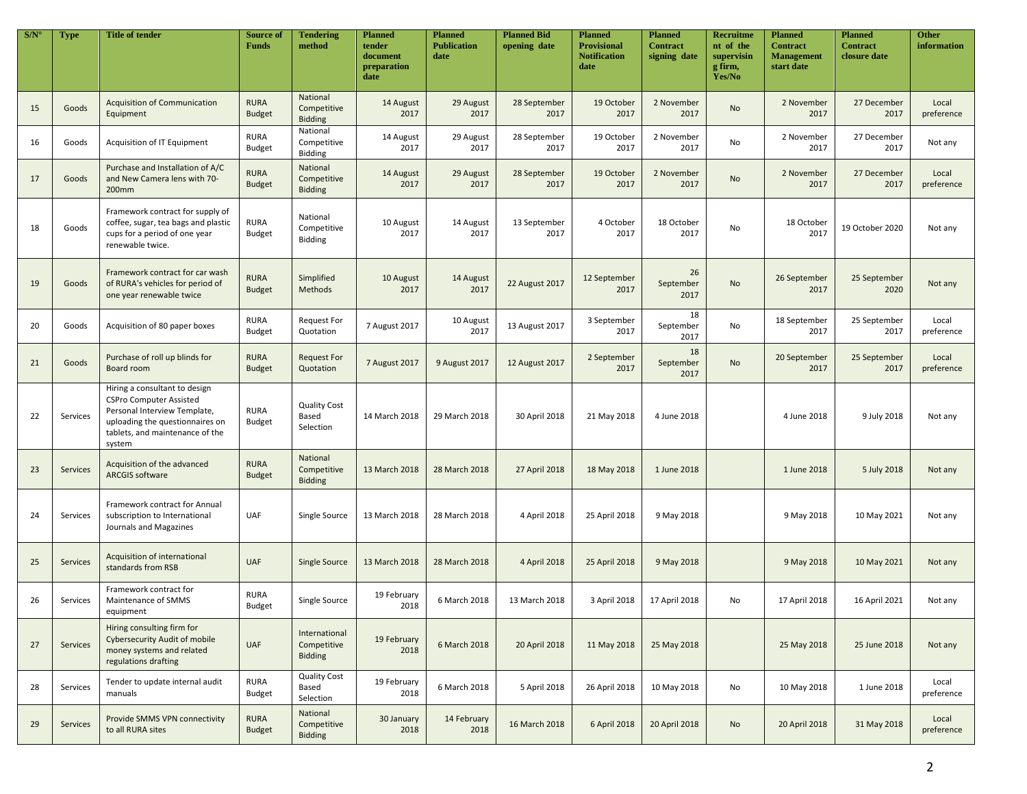| S/N | Type            | <b>Title of tender</b>                                                                                                                                                          | <b>Source of</b><br>Funds    | <b>Tendering</b><br>method                     | <b>Planned</b><br>tender<br>document<br>preparation<br>date | <b>Planned</b><br><b>Publication</b><br>date | <b>Planned Bid</b><br>opening date | <b>Planned</b><br><b>Provisional</b><br><b>Notification</b><br>date | <b>Planned</b><br><b>Contract</b><br>signing date | <b>Recruitme</b><br>nt of the<br>supervisin<br>g firm,<br>Yes/No | <b>Planned</b><br><b>Contract</b><br><b>Management</b><br>start date | <b>Planned</b><br><b>Contract</b><br>closure date | <b>Other</b><br>information |
|-----|-----------------|---------------------------------------------------------------------------------------------------------------------------------------------------------------------------------|------------------------------|------------------------------------------------|-------------------------------------------------------------|----------------------------------------------|------------------------------------|---------------------------------------------------------------------|---------------------------------------------------|------------------------------------------------------------------|----------------------------------------------------------------------|---------------------------------------------------|-----------------------------|
| 15  | Goods           | <b>Acquisition of Communication</b><br>Equipment                                                                                                                                | <b>RURA</b><br><b>Budget</b> | National<br>Competitive<br><b>Bidding</b>      | 14 August<br>2017                                           | 29 August<br>2017                            | 28 September<br>2017               | 19 October<br>2017                                                  | 2 November<br>2017                                | <b>No</b>                                                        | 2 November<br>2017                                                   | 27 December<br>2017                               | Local<br>preference         |
| 16  | Goods           | Acquisition of IT Equipment                                                                                                                                                     | <b>RURA</b><br><b>Budget</b> | National<br>Competitive<br><b>Bidding</b>      | 14 August<br>2017                                           | 29 August<br>2017                            | 28 September<br>2017               | 19 October<br>2017                                                  | 2 November<br>2017                                | No                                                               | 2 November<br>2017                                                   | 27 December<br>2017                               | Not any                     |
| 17  | Goods           | Purchase and Installation of A/C<br>and New Camera lens with 70-<br>200mm                                                                                                       | <b>RURA</b><br><b>Budget</b> | National<br>Competitive<br><b>Bidding</b>      | 14 August<br>2017                                           | 29 August<br>2017                            | 28 September<br>2017               | 19 October<br>2017                                                  | 2 November<br>2017                                | <b>No</b>                                                        | 2 November<br>2017                                                   | 27 December<br>2017                               | Local<br>preference         |
| 18  | Goods           | Framework contract for supply of<br>coffee, sugar, tea bags and plastic<br>cups for a period of one year<br>renewable twice.                                                    | <b>RURA</b><br><b>Budget</b> | National<br>Competitive<br>Bidding             | 10 August<br>2017                                           | 14 August<br>2017                            | 13 September<br>2017               | 4 October<br>2017                                                   | 18 October<br>2017                                | No                                                               | 18 October<br>2017                                                   | 19 October 2020                                   | Not any                     |
| 19  | Goods           | Framework contract for car wash<br>of RURA's vehicles for period of<br>one year renewable twice                                                                                 | <b>RURA</b><br><b>Budget</b> | Simplified<br>Methods                          | 10 August<br>2017                                           | 14 August<br>2017                            | 22 August 2017                     | 12 September<br>2017                                                | 26<br>September<br>2017                           | No                                                               | 26 September<br>2017                                                 | 25 September<br>2020                              | Not any                     |
| 20  | Goods           | Acquisition of 80 paper boxes                                                                                                                                                   | <b>RURA</b><br><b>Budget</b> | <b>Request For</b><br>Quotation                | 7 August 2017                                               | 10 August<br>2017                            | 13 August 2017                     | 3 September<br>2017                                                 | 18<br>September<br>2017                           | No                                                               | 18 September<br>2017                                                 | 25 September<br>2017                              | Local<br>preference         |
| 21  | Goods           | Purchase of roll up blinds for<br>Board room                                                                                                                                    | <b>RURA</b><br><b>Budget</b> | <b>Request For</b><br>Quotation                | 7 August 2017                                               | 9 August 2017                                | 12 August 2017                     | 2 September<br>2017                                                 | 18<br>September<br>2017                           | No                                                               | 20 September<br>2017                                                 | 25 September<br>2017                              | Local<br>preference         |
| 22  | Services        | Hiring a consultant to design<br><b>CSPro Computer Assisted</b><br>Personal Interview Template,<br>uploading the questionnaires on<br>tablets, and maintenance of the<br>system | <b>RURA</b><br><b>Budget</b> | <b>Quality Cost</b><br>Based<br>Selection      | 14 March 2018                                               | 29 March 2018                                | 30 April 2018                      | 21 May 2018                                                         | 4 June 2018                                       |                                                                  | 4 June 2018                                                          | 9 July 2018                                       | Not any                     |
| 23  | <b>Services</b> | Acquisition of the advanced<br><b>ARCGIS software</b>                                                                                                                           | <b>RURA</b><br><b>Budget</b> | National<br>Competitive<br><b>Bidding</b>      | 13 March 2018                                               | 28 March 2018                                | 27 April 2018                      | 18 May 2018                                                         | 1 June 2018                                       |                                                                  | 1 June 2018                                                          | 5 July 2018                                       | Not any                     |
| 24  | Services        | Framework contract for Annual<br>subscription to International<br>Journals and Magazines                                                                                        | <b>UAF</b>                   | Single Source                                  | 13 March 2018                                               | 28 March 2018                                | 4 April 2018                       | 25 April 2018                                                       | 9 May 2018                                        |                                                                  | 9 May 2018                                                           | 10 May 2021                                       | Not any                     |
| 25  | <b>Services</b> | Acquisition of international<br>standards from RSB                                                                                                                              | <b>UAF</b>                   | Single Source                                  | 13 March 2018                                               | 28 March 2018                                | 4 April 2018                       | 25 April 2018                                                       | 9 May 2018                                        |                                                                  | 9 May 2018                                                           | 10 May 2021                                       | Not any                     |
| 26  | Services        | Framework contract for<br>Maintenance of SMMS<br>equipment                                                                                                                      | <b>RURA</b><br><b>Budget</b> | Single Source                                  | 19 February<br>2018                                         | 6 March 2018                                 | 13 March 2018                      | 3 April 2018                                                        | 17 April 2018                                     | No                                                               | 17 April 2018                                                        | 16 April 2021                                     | Not any                     |
| 27  | Services        | Hiring consulting firm for<br><b>Cybersecurity Audit of mobile</b><br>money systems and related<br>regulations drafting                                                         | <b>UAF</b>                   | International<br>Competitive<br><b>Bidding</b> | 19 February<br>2018                                         | 6 March 2018                                 | 20 April 2018                      | 11 May 2018                                                         | 25 May 2018                                       |                                                                  | 25 May 2018                                                          | 25 June 2018                                      | Not any                     |
| 28  | Services        | Tender to update internal audit<br>manuals                                                                                                                                      | <b>RURA</b><br><b>Budget</b> | <b>Quality Cost</b><br>Based<br>Selection      | 19 February<br>2018                                         | 6 March 2018                                 | 5 April 2018                       | 26 April 2018                                                       | 10 May 2018                                       | No                                                               | 10 May 2018                                                          | 1 June 2018                                       | Local<br>preference         |
| 29  | Services        | Provide SMMS VPN connectivity<br>to all RURA sites                                                                                                                              | <b>RURA</b><br><b>Budget</b> | National<br>Competitive<br><b>Bidding</b>      | 30 January<br>2018                                          | 14 February<br>2018                          | 16 March 2018                      | 6 April 2018                                                        | 20 April 2018                                     | No                                                               | 20 April 2018                                                        | 31 May 2018                                       | Local<br>preference         |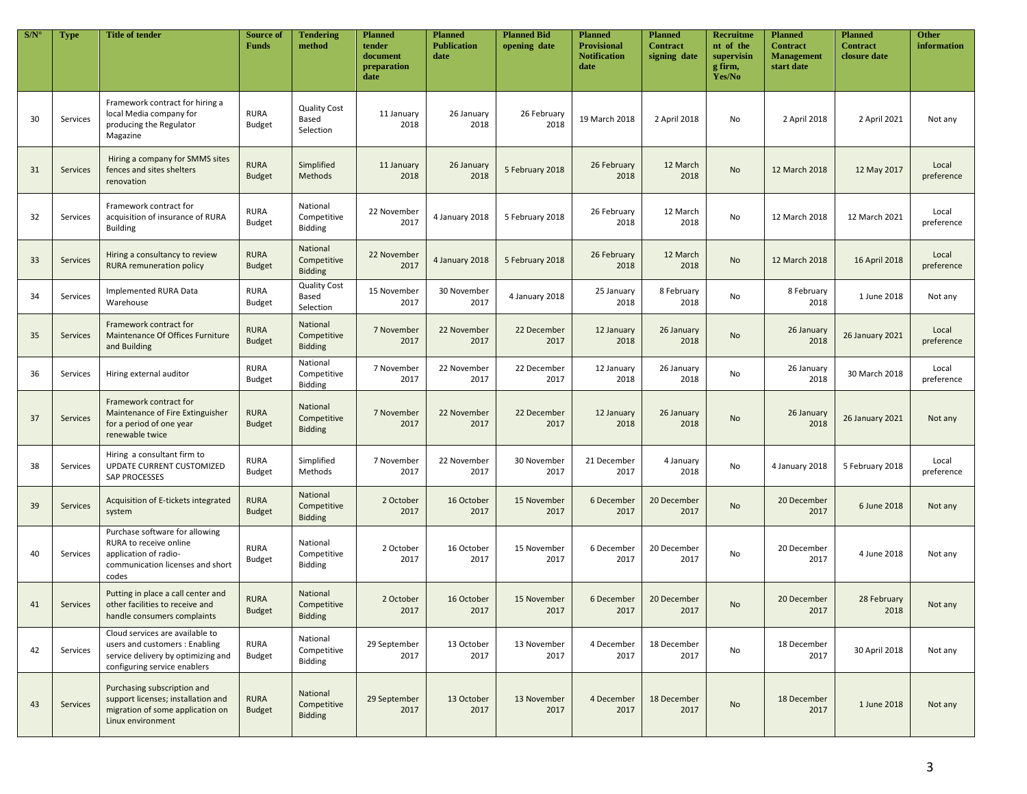| S/N | <b>Type</b>     | <b>Title of tender</b>                                                                                                                  | <b>Source of</b><br><b>Funds</b> | <b>Tendering</b><br>method                | <b>Planned</b><br>tender<br>document<br>preparation<br>date | <b>Planned</b><br><b>Publication</b><br>date | <b>Planned Bid</b><br>opening date | <b>Planned</b><br><b>Provisional</b><br><b>Notification</b><br>date | <b>Planned</b><br><b>Contract</b><br>signing date | Recruitme<br>nt of the<br>supervisin<br>g firm,<br>Yes/No | <b>Planned</b><br><b>Contract</b><br><b>Management</b><br>start date | <b>Planned</b><br><b>Contract</b><br><b>closure date</b> | <b>Other</b><br>information |
|-----|-----------------|-----------------------------------------------------------------------------------------------------------------------------------------|----------------------------------|-------------------------------------------|-------------------------------------------------------------|----------------------------------------------|------------------------------------|---------------------------------------------------------------------|---------------------------------------------------|-----------------------------------------------------------|----------------------------------------------------------------------|----------------------------------------------------------|-----------------------------|
| 30  | Services        | Framework contract for hiring a<br>local Media company for<br>producing the Regulator<br>Magazine                                       | <b>RURA</b><br><b>Budget</b>     | <b>Quality Cost</b><br>Based<br>Selection | 11 January<br>2018                                          | 26 January<br>2018                           | 26 February<br>2018                | 19 March 2018                                                       | 2 April 2018                                      | No                                                        | 2 April 2018                                                         | 2 April 2021                                             | Not any                     |
| 31  | <b>Services</b> | Hiring a company for SMMS sites<br>fences and sites shelters<br>renovation                                                              | <b>RURA</b><br><b>Budget</b>     | Simplified<br>Methods                     | 11 January<br>2018                                          | 26 January<br>2018                           | 5 February 2018                    | 26 February<br>2018                                                 | 12 March<br>2018                                  | No                                                        | 12 March 2018                                                        | 12 May 2017                                              | Local<br>preference         |
| 32  | Services        | Framework contract for<br>acquisition of insurance of RURA<br><b>Building</b>                                                           | <b>RURA</b><br><b>Budget</b>     | National<br>Competitive<br>Bidding        | 22 November<br>2017                                         | 4 January 2018                               | 5 February 2018                    | 26 February<br>2018                                                 | 12 March<br>2018                                  | No                                                        | 12 March 2018                                                        | 12 March 2021                                            | Local<br>preference         |
| 33  | Services        | Hiring a consultancy to review<br><b>RURA</b> remuneration policy                                                                       | <b>RURA</b><br><b>Budget</b>     | National<br>Competitive<br><b>Bidding</b> | 22 November<br>2017                                         | 4 January 2018                               | 5 February 2018                    | 26 February<br>2018                                                 | 12 March<br>2018                                  | No                                                        | 12 March 2018                                                        | 16 April 2018                                            | Local<br>preference         |
| 34  | Services        | Implemented RURA Data<br>Warehouse                                                                                                      | <b>RURA</b><br><b>Budget</b>     | <b>Quality Cost</b><br>Based<br>Selection | 15 November<br>2017                                         | 30 November<br>2017                          | 4 January 2018                     | 25 January<br>2018                                                  | 8 February<br>2018                                | No                                                        | 8 February<br>2018                                                   | 1 June 2018                                              | Not any                     |
| 35  | Services        | Framework contract for<br>Maintenance Of Offices Furniture<br>and Building                                                              | <b>RURA</b><br><b>Budget</b>     | National<br>Competitive<br><b>Bidding</b> | 7 November<br>2017                                          | 22 November<br>2017                          | 22 December<br>2017                | 12 January<br>2018                                                  | 26 January<br>2018                                | No                                                        | 26 January<br>2018                                                   | 26 January 2021                                          | Local<br>preference         |
| 36  | Services        | Hiring external auditor                                                                                                                 | <b>RURA</b><br><b>Budget</b>     | National<br>Competitive<br>Bidding        | 7 November<br>2017                                          | 22 November<br>2017                          | 22 December<br>2017                | 12 January<br>2018                                                  | 26 January<br>2018                                | No                                                        | 26 January<br>2018                                                   | 30 March 2018                                            | Local<br>preference         |
| 37  | Services        | Framework contract for<br>Maintenance of Fire Extinguisher<br>for a period of one year<br>renewable twice                               | <b>RURA</b><br><b>Budget</b>     | National<br>Competitive<br><b>Bidding</b> | 7 November<br>2017                                          | 22 November<br>2017                          | 22 December<br>2017                | 12 January<br>2018                                                  | 26 January<br>2018                                | No                                                        | 26 January<br>2018                                                   | <b>26 January 2021</b>                                   | Not any                     |
| 38  | Services        | Hiring a consultant firm to<br>UPDATE CURRENT CUSTOMIZED<br><b>SAP PROCESSES</b>                                                        | <b>RURA</b><br><b>Budget</b>     | Simplified<br>Methods                     | 7 November<br>2017                                          | 22 November<br>2017                          | 30 November<br>2017                | 21 December<br>2017                                                 | 4 January<br>2018                                 | No                                                        | 4 January 2018                                                       | 5 February 2018                                          | Local<br>preference         |
| 39  | <b>Services</b> | Acquisition of E-tickets integrated<br>system                                                                                           | <b>RURA</b><br><b>Budget</b>     | National<br>Competitive<br><b>Bidding</b> | 2 October<br>2017                                           | 16 October<br>2017                           | 15 November<br>2017                | 6 December<br>2017                                                  | 20 December<br>2017                               | <b>No</b>                                                 | 20 December<br>2017                                                  | 6 June 2018                                              | Not any                     |
| 40  | Services        | Purchase software for allowing<br>RURA to receive online<br>application of radio-<br>communication licenses and short<br>codes          | <b>RURA</b><br><b>Budget</b>     | National<br>Competitive<br>Bidding        | 2 October<br>2017                                           | 16 October<br>2017                           | 15 November<br>2017                | 6 December<br>2017                                                  | 20 December<br>2017                               | No                                                        | 20 December<br>2017                                                  | 4 June 2018                                              | Not any                     |
| 41  | <b>Services</b> | Putting in place a call center and<br>other facilities to receive and<br>handle consumers complaints                                    | <b>RURA</b><br><b>Budget</b>     | National<br>Competitive<br><b>Bidding</b> | 2 October<br>2017                                           | 16 October<br>2017                           | 15 November<br>2017                | 6 December<br>2017                                                  | 20 December<br>2017                               | <b>No</b>                                                 | 20 December<br>2017                                                  | 28 February<br>2018                                      | Not any                     |
| 42  | Services        | Cloud services are available to<br>users and customers : Enabling<br>service delivery by optimizing and<br>configuring service enablers | <b>RURA</b><br><b>Budget</b>     | National<br>Competitive<br>Bidding        | 29 September<br>2017                                        | 13 October<br>2017                           | 13 November<br>2017                | 4 December<br>2017                                                  | 18 December<br>2017                               | No                                                        | 18 December<br>2017                                                  | 30 April 2018                                            | Not any                     |
| 43  | Services        | Purchasing subscription and<br>support licenses; installation and<br>migration of some application on<br>Linux environment              | <b>RURA</b><br><b>Budget</b>     | National<br>Competitive<br><b>Bidding</b> | 29 September<br>2017                                        | 13 October<br>2017                           | 13 November<br>2017                | 4 December<br>2017                                                  | 18 December<br>2017                               | No                                                        | 18 December<br>2017                                                  | 1 June 2018                                              | Not any                     |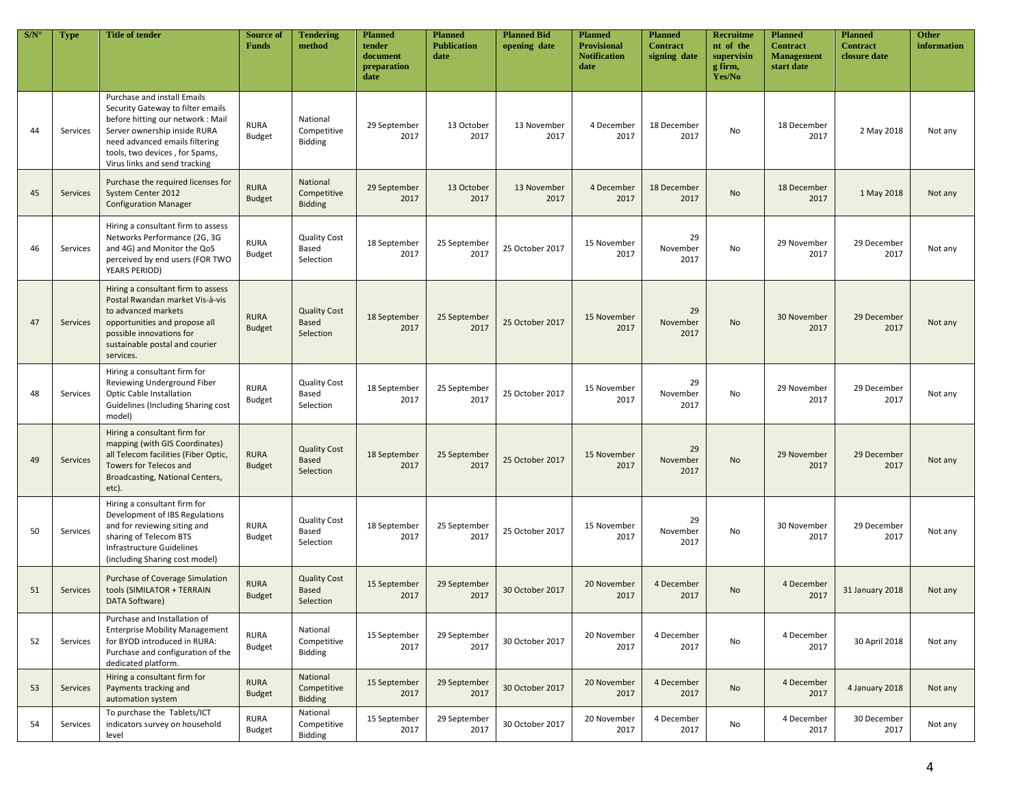| S/N | <b>Type</b>     | <b>Title of tender</b>                                                                                                                                                                                                                    | <b>Source of</b><br><b>Funds</b> | <b>Tendering</b><br>method                       | <b>Planned</b><br>tender<br>document<br>preparation<br>date | <b>Planned</b><br><b>Publication</b><br>date | <b>Planned Bid</b><br>opening date | <b>Planned</b><br><b>Provisional</b><br><b>Notification</b><br>date | <b>Planned</b><br><b>Contract</b><br>signing date | <b>Recruitme</b><br>nt of the<br>supervisin<br>g firm,<br>Yes/No | <b>Planned</b><br><b>Contract</b><br><b>Management</b><br>start date | <b>Planned</b><br><b>Contract</b><br>closure date | <b>Other</b><br>information |
|-----|-----------------|-------------------------------------------------------------------------------------------------------------------------------------------------------------------------------------------------------------------------------------------|----------------------------------|--------------------------------------------------|-------------------------------------------------------------|----------------------------------------------|------------------------------------|---------------------------------------------------------------------|---------------------------------------------------|------------------------------------------------------------------|----------------------------------------------------------------------|---------------------------------------------------|-----------------------------|
| 44  | Services        | Purchase and install Emails<br>Security Gateway to filter emails<br>before hitting our network: Mail<br>Server ownership inside RURA<br>need advanced emails filtering<br>tools, two devices, for Spams,<br>Virus links and send tracking | <b>RURA</b><br><b>Budget</b>     | National<br>Competitive<br><b>Bidding</b>        | 29 September<br>2017                                        | 13 October<br>2017                           | 13 November<br>2017                | 4 December<br>2017                                                  | 18 December<br>2017                               | No                                                               | 18 December<br>2017                                                  | 2 May 2018                                        | Not any                     |
| 45  | Services        | Purchase the required licenses for<br>System Center 2012<br><b>Configuration Manager</b>                                                                                                                                                  | <b>RURA</b><br><b>Budget</b>     | National<br>Competitive<br><b>Bidding</b>        | 29 September<br>2017                                        | 13 October<br>2017                           | 13 November<br>2017                | 4 December<br>2017                                                  | 18 December<br>2017                               | <b>No</b>                                                        | 18 December<br>2017                                                  | 1 May 2018                                        | Not any                     |
| 46  | Services        | Hiring a consultant firm to assess<br>Networks Performance (2G, 3G<br>and 4G) and Monitor the QoS<br>perceived by end users (FOR TWO<br><b>YEARS PERIOD)</b>                                                                              | <b>RURA</b><br>Budget            | <b>Quality Cost</b><br>Based<br>Selection        | 18 September<br>2017                                        | 25 September<br>2017                         | 25 October 2017                    | 15 November<br>2017                                                 | 29<br>November<br>2017                            | No                                                               | 29 November<br>2017                                                  | 29 December<br>2017                               | Not any                     |
| 47  | Services        | Hiring a consultant firm to assess<br>Postal Rwandan market Vis-à-vis<br>to advanced markets<br>opportunities and propose all<br>possible innovations for<br>sustainable postal and courier<br>services.                                  | <b>RURA</b><br><b>Budget</b>     | <b>Quality Cost</b><br>Based<br>Selection        | 18 September<br>2017                                        | 25 September<br>2017                         | 25 October 2017                    | 15 November<br>2017                                                 | 29<br>November<br>2017                            | <b>No</b>                                                        | 30 November<br>2017                                                  | 29 December<br>2017                               | Not any                     |
| 48  | Services        | Hiring a consultant firm for<br>Reviewing Underground Fiber<br><b>Optic Cable Installation</b><br>Guidelines (Including Sharing cost<br>model)                                                                                            | <b>RURA</b><br><b>Budget</b>     | <b>Quality Cost</b><br>Based<br>Selection        | 18 September<br>2017                                        | 25 September<br>2017                         | 25 October 2017                    | 15 November<br>2017                                                 | 29<br>November<br>2017                            | No                                                               | 29 November<br>2017                                                  | 29 December<br>2017                               | Not any                     |
| 49  | <b>Services</b> | Hiring a consultant firm for<br>mapping (with GIS Coordinates)<br>all Telecom facilities (Fiber Optic,<br><b>Towers for Telecos and</b><br>Broadcasting, National Centers,<br>etc).                                                       | <b>RURA</b><br><b>Budget</b>     | <b>Quality Cost</b><br><b>Based</b><br>Selection | 18 September<br>2017                                        | 25 September<br>2017                         | 25 October 2017                    | 15 November<br>2017                                                 | 29<br>November<br>2017                            | <b>No</b>                                                        | 29 November<br>2017                                                  | 29 December<br>2017                               | Not any                     |
| 50  | Services        | Hiring a consultant firm for<br>Development of IBS Regulations<br>and for reviewing siting and<br>sharing of Telecom BTS<br>Infrastructure Guidelines<br>(including Sharing cost model)                                                   | <b>RURA</b><br><b>Budget</b>     | <b>Quality Cost</b><br>Based<br>Selection        | 18 September<br>2017                                        | 25 September<br>2017                         | 25 October 2017                    | 15 November<br>2017                                                 | 29<br>November<br>2017                            | No                                                               | 30 November<br>2017                                                  | 29 December<br>2017                               | Not any                     |
| 51  | Services        | <b>Purchase of Coverage Simulation</b><br>tools (SIMILATOR + TERRAIN<br>DATA Software)                                                                                                                                                    | <b>RURA</b><br><b>Budget</b>     | <b>Quality Cost</b><br><b>Based</b><br>Selection | 15 September<br>2017                                        | 29 September<br>2017                         | 30 October 2017                    | 20 November<br>2017                                                 | 4 December<br>2017                                | <b>No</b>                                                        | 4 December<br>2017                                                   | <b>31 January 2018</b>                            | Not any                     |
| 52  | Services        | Purchase and Installation of<br><b>Enterprise Mobility Management</b><br>for BYOD introduced in RURA:<br>Purchase and configuration of the<br>dedicated platform.                                                                         | <b>RURA</b><br><b>Budget</b>     | National<br>Competitive<br>Bidding               | 15 September<br>2017                                        | 29 September<br>2017                         | 30 October 2017                    | 20 November<br>2017                                                 | 4 December<br>2017                                | No                                                               | 4 December<br>2017                                                   | 30 April 2018                                     | Not any                     |
| 53  | <b>Services</b> | Hiring a consultant firm for<br>Payments tracking and<br>automation system                                                                                                                                                                | <b>RURA</b><br><b>Budget</b>     | National<br>Competitive<br><b>Bidding</b>        | 15 September<br>2017                                        | 29 September<br>2017                         | 30 October 2017                    | 20 November<br>2017                                                 | 4 December<br>2017                                | No                                                               | 4 December<br>2017                                                   | 4 January 2018                                    | Not any                     |
| 54  | Services        | To purchase the Tablets/ICT<br>indicators survey on household<br>level                                                                                                                                                                    | <b>RURA</b><br>Budget            | National<br>Competitive<br>Bidding               | 15 September<br>2017                                        | 29 September<br>2017                         | 30 October 2017                    | 20 November<br>2017                                                 | 4 December<br>2017                                | No                                                               | 4 December<br>2017                                                   | 30 December<br>2017                               | Not any                     |